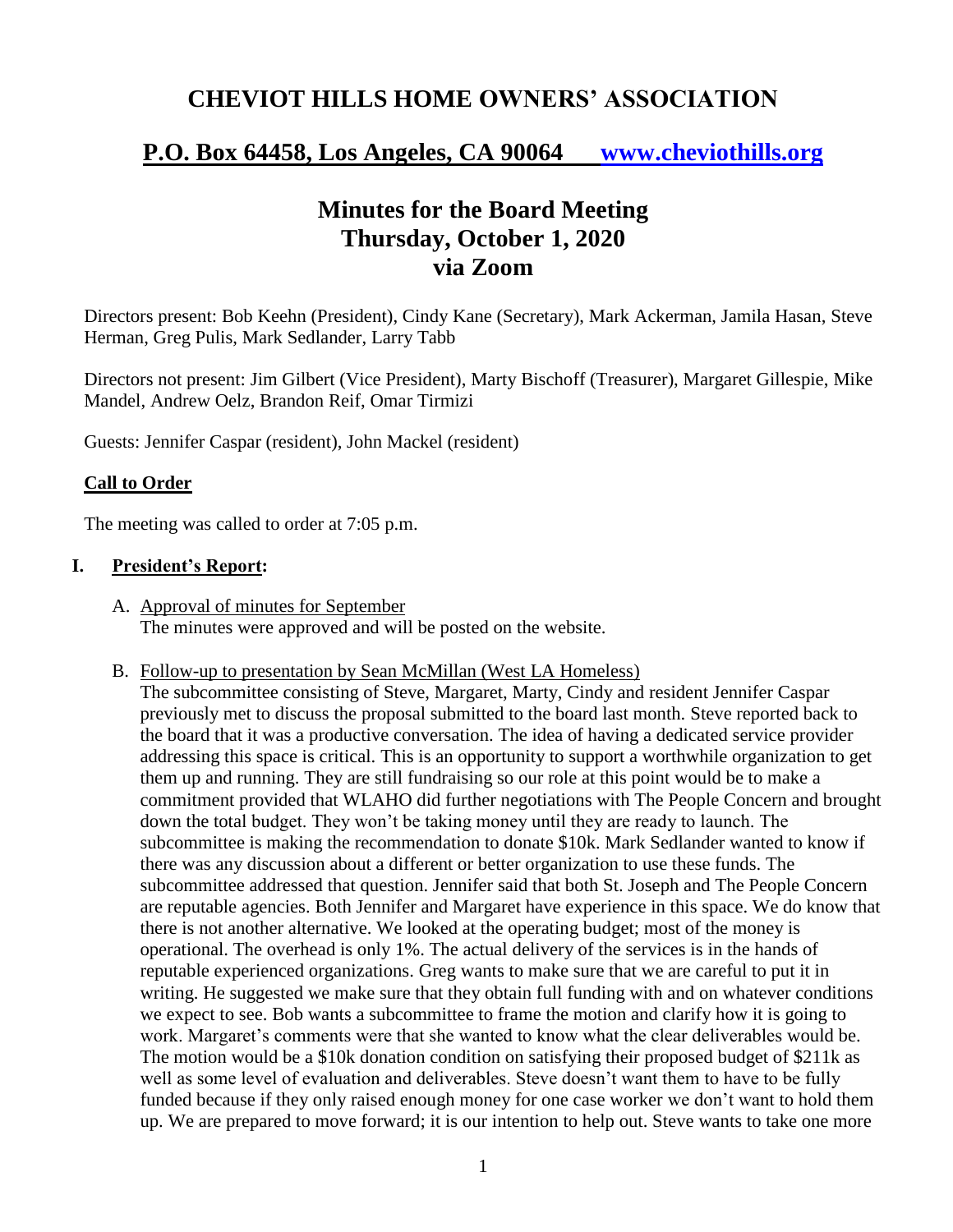# **CHEVIOT HILLS HOME OWNERS' ASSOCIATION**

# **P.O. Box 64458, Los Angeles, CA 90064 [www.cheviothills.org](http://www.cheviothills.org/)**

# **Minutes for the Board Meeting Thursday, October 1, 2020 via Zoom**

Directors present: Bob Keehn (President), Cindy Kane (Secretary), Mark Ackerman, Jamila Hasan, Steve Herman, Greg Pulis, Mark Sedlander, Larry Tabb

Directors not present: Jim Gilbert (Vice President), Marty Bischoff (Treasurer), Margaret Gillespie, Mike Mandel, Andrew Oelz, Brandon Reif, Omar Tirmizi

Guests: Jennifer Caspar (resident), John Mackel (resident)

## **Call to Order**

The meeting was called to order at 7:05 p.m.

### **I. President's Report:**

- A. Approval of minutes for September The minutes were approved and will be posted on the website.
- B. Follow-up to presentation by Sean McMillan (West LA Homeless)

The subcommittee consisting of Steve, Margaret, Marty, Cindy and resident Jennifer Caspar previously met to discuss the proposal submitted to the board last month. Steve reported back to the board that it was a productive conversation. The idea of having a dedicated service provider addressing this space is critical. This is an opportunity to support a worthwhile organization to get them up and running. They are still fundraising so our role at this point would be to make a commitment provided that WLAHO did further negotiations with The People Concern and brought down the total budget. They won't be taking money until they are ready to launch. The subcommittee is making the recommendation to donate \$10k. Mark Sedlander wanted to know if there was any discussion about a different or better organization to use these funds. The subcommittee addressed that question. Jennifer said that both St. Joseph and The People Concern are reputable agencies. Both Jennifer and Margaret have experience in this space. We do know that there is not another alternative. We looked at the operating budget; most of the money is operational. The overhead is only 1%. The actual delivery of the services is in the hands of reputable experienced organizations. Greg wants to make sure that we are careful to put it in writing. He suggested we make sure that they obtain full funding with and on whatever conditions we expect to see. Bob wants a subcommittee to frame the motion and clarify how it is going to work. Margaret's comments were that she wanted to know what the clear deliverables would be. The motion would be a \$10k donation condition on satisfying their proposed budget of \$211k as well as some level of evaluation and deliverables. Steve doesn't want them to have to be fully funded because if they only raised enough money for one case worker we don't want to hold them up. We are prepared to move forward; it is our intention to help out. Steve wants to take one more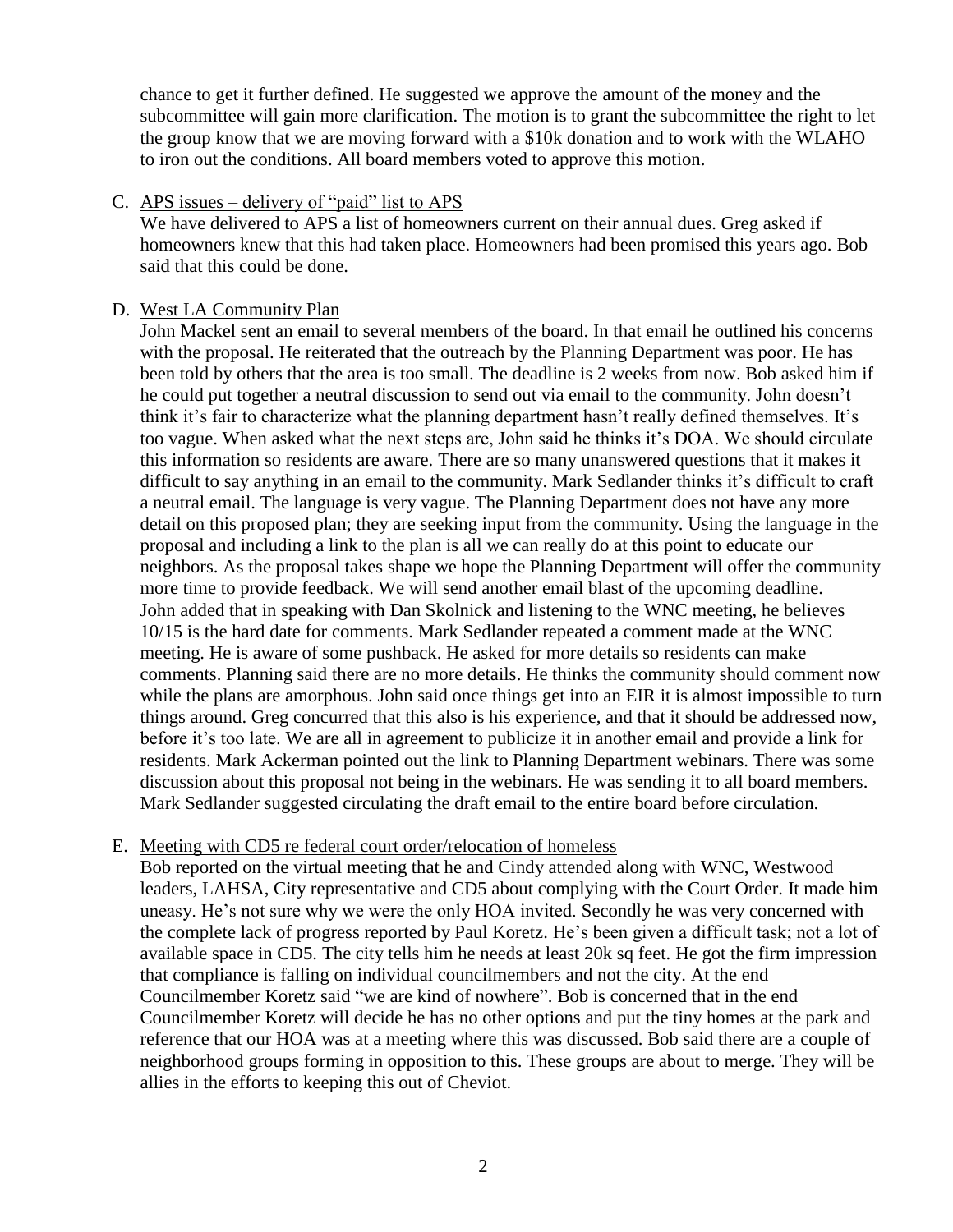chance to get it further defined. He suggested we approve the amount of the money and the subcommittee will gain more clarification. The motion is to grant the subcommittee the right to let the group know that we are moving forward with a \$10k donation and to work with the WLAHO to iron out the conditions. All board members voted to approve this motion.

#### C. APS issues – delivery of "paid" list to APS

We have delivered to APS a list of homeowners current on their annual dues. Greg asked if homeowners knew that this had taken place. Homeowners had been promised this years ago. Bob said that this could be done.

#### D. West LA Community Plan

John Mackel sent an email to several members of the board. In that email he outlined his concerns with the proposal. He reiterated that the outreach by the Planning Department was poor. He has been told by others that the area is too small. The deadline is 2 weeks from now. Bob asked him if he could put together a neutral discussion to send out via email to the community. John doesn't think it's fair to characterize what the planning department hasn't really defined themselves. It's too vague. When asked what the next steps are, John said he thinks it's DOA. We should circulate this information so residents are aware. There are so many unanswered questions that it makes it difficult to say anything in an email to the community. Mark Sedlander thinks it's difficult to craft a neutral email. The language is very vague. The Planning Department does not have any more detail on this proposed plan; they are seeking input from the community. Using the language in the proposal and including a link to the plan is all we can really do at this point to educate our neighbors. As the proposal takes shape we hope the Planning Department will offer the community more time to provide feedback. We will send another email blast of the upcoming deadline. John added that in speaking with Dan Skolnick and listening to the WNC meeting, he believes 10/15 is the hard date for comments. Mark Sedlander repeated a comment made at the WNC meeting. He is aware of some pushback. He asked for more details so residents can make comments. Planning said there are no more details. He thinks the community should comment now while the plans are amorphous. John said once things get into an EIR it is almost impossible to turn things around. Greg concurred that this also is his experience, and that it should be addressed now, before it's too late. We are all in agreement to publicize it in another email and provide a link for residents. Mark Ackerman pointed out the link to Planning Department webinars. There was some discussion about this proposal not being in the webinars. He was sending it to all board members. Mark Sedlander suggested circulating the draft email to the entire board before circulation.

## E. Meeting with CD5 re federal court order/relocation of homeless

Bob reported on the virtual meeting that he and Cindy attended along with WNC, Westwood leaders, LAHSA, City representative and CD5 about complying with the Court Order. It made him uneasy. He's not sure why we were the only HOA invited. Secondly he was very concerned with the complete lack of progress reported by Paul Koretz. He's been given a difficult task; not a lot of available space in CD5. The city tells him he needs at least 20k sq feet. He got the firm impression that compliance is falling on individual councilmembers and not the city. At the end Councilmember Koretz said "we are kind of nowhere". Bob is concerned that in the end Councilmember Koretz will decide he has no other options and put the tiny homes at the park and reference that our HOA was at a meeting where this was discussed. Bob said there are a couple of neighborhood groups forming in opposition to this. These groups are about to merge. They will be allies in the efforts to keeping this out of Cheviot.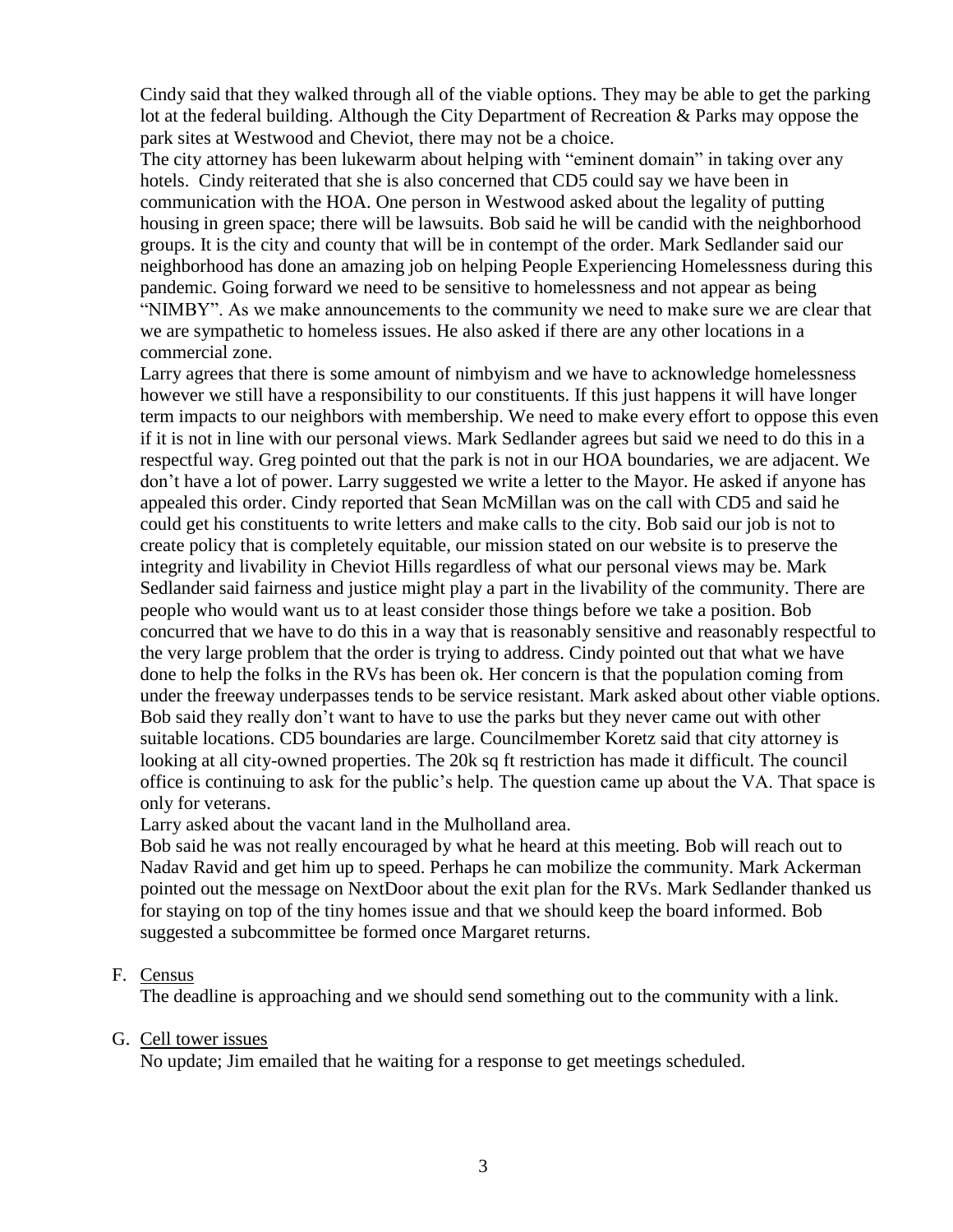Cindy said that they walked through all of the viable options. They may be able to get the parking lot at the federal building. Although the City Department of Recreation & Parks may oppose the park sites at Westwood and Cheviot, there may not be a choice.

The city attorney has been lukewarm about helping with "eminent domain" in taking over any hotels. Cindy reiterated that she is also concerned that CD5 could say we have been in communication with the HOA. One person in Westwood asked about the legality of putting housing in green space; there will be lawsuits. Bob said he will be candid with the neighborhood groups. It is the city and county that will be in contempt of the order. Mark Sedlander said our neighborhood has done an amazing job on helping People Experiencing Homelessness during this pandemic. Going forward we need to be sensitive to homelessness and not appear as being "NIMBY". As we make announcements to the community we need to make sure we are clear that we are sympathetic to homeless issues. He also asked if there are any other locations in a commercial zone.

Larry agrees that there is some amount of nimbyism and we have to acknowledge homelessness however we still have a responsibility to our constituents. If this just happens it will have longer term impacts to our neighbors with membership. We need to make every effort to oppose this even if it is not in line with our personal views. Mark Sedlander agrees but said we need to do this in a respectful way. Greg pointed out that the park is not in our HOA boundaries, we are adjacent. We don't have a lot of power. Larry suggested we write a letter to the Mayor. He asked if anyone has appealed this order. Cindy reported that Sean McMillan was on the call with CD5 and said he could get his constituents to write letters and make calls to the city. Bob said our job is not to create policy that is completely equitable, our mission stated on our website is to preserve the integrity and livability in Cheviot Hills regardless of what our personal views may be. Mark Sedlander said fairness and justice might play a part in the livability of the community. There are people who would want us to at least consider those things before we take a position. Bob concurred that we have to do this in a way that is reasonably sensitive and reasonably respectful to the very large problem that the order is trying to address. Cindy pointed out that what we have done to help the folks in the RVs has been ok. Her concern is that the population coming from under the freeway underpasses tends to be service resistant. Mark asked about other viable options. Bob said they really don't want to have to use the parks but they never came out with other suitable locations. CD5 boundaries are large. Councilmember Koretz said that city attorney is looking at all city-owned properties. The 20k sq ft restriction has made it difficult. The council office is continuing to ask for the public's help. The question came up about the VA. That space is only for veterans.

Larry asked about the vacant land in the Mulholland area.

Bob said he was not really encouraged by what he heard at this meeting. Bob will reach out to Nadav Ravid and get him up to speed. Perhaps he can mobilize the community. Mark Ackerman pointed out the message on NextDoor about the exit plan for the RVs. Mark Sedlander thanked us for staying on top of the tiny homes issue and that we should keep the board informed. Bob suggested a subcommittee be formed once Margaret returns.

#### F. Census

The deadline is approaching and we should send something out to the community with a link.

#### G. Cell tower issues

No update; Jim emailed that he waiting for a response to get meetings scheduled.